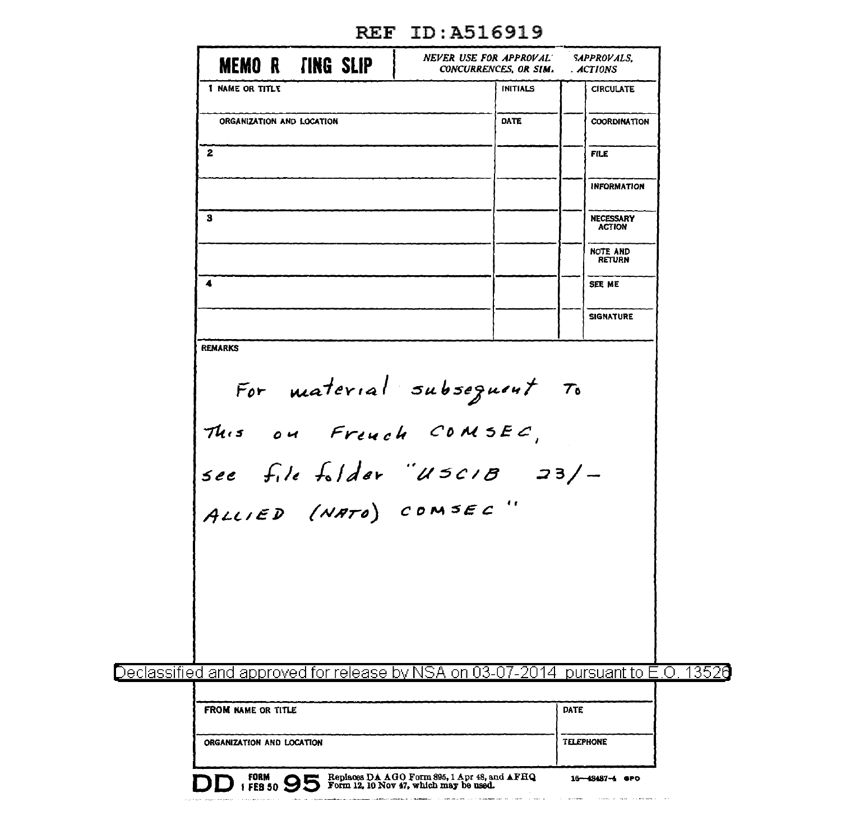| <b>MEMO R TING SLIP</b>                                                                                      | NEVER USE FOR APPROVAL<br>CONCURRENCES, OR SIM.                                        | <b>SAPPROVALS.</b><br>. ACTIONS  |  |  |  |  |  |
|--------------------------------------------------------------------------------------------------------------|----------------------------------------------------------------------------------------|----------------------------------|--|--|--|--|--|
| I NAME OR TITLE                                                                                              | <b>INITIALS</b>                                                                        | <b>CIRCULATE</b>                 |  |  |  |  |  |
| ORGANIZATION AND LOCATION                                                                                    | DATE                                                                                   | <b>COORDINATION</b>              |  |  |  |  |  |
| 2                                                                                                            |                                                                                        | <b>FILE</b>                      |  |  |  |  |  |
|                                                                                                              |                                                                                        | <b>INFORMATION</b>               |  |  |  |  |  |
| з                                                                                                            |                                                                                        | NECESSARY<br><b>ACTION</b>       |  |  |  |  |  |
|                                                                                                              |                                                                                        | <b>NOTE AND</b><br><b>RETURN</b> |  |  |  |  |  |
| $\blacktriangleleft$                                                                                         |                                                                                        | SEE ME                           |  |  |  |  |  |
|                                                                                                              |                                                                                        | <b>SIGNATURE</b>                 |  |  |  |  |  |
| REMARKS                                                                                                      |                                                                                        |                                  |  |  |  |  |  |
|                                                                                                              |                                                                                        |                                  |  |  |  |  |  |
| For material subsequent To<br>This on French COMSEC,<br>see file folder "USCIB 23/-<br>ALLIED (NATO) COMSEC" |                                                                                        |                                  |  |  |  |  |  |
|                                                                                                              |                                                                                        |                                  |  |  |  |  |  |
|                                                                                                              |                                                                                        |                                  |  |  |  |  |  |
|                                                                                                              |                                                                                        |                                  |  |  |  |  |  |
|                                                                                                              |                                                                                        |                                  |  |  |  |  |  |
|                                                                                                              |                                                                                        |                                  |  |  |  |  |  |
|                                                                                                              |                                                                                        |                                  |  |  |  |  |  |
| <u>Declassified and approved for release by NSA on 03-07-2014  pursuant to E.O. 13526</u>                    |                                                                                        |                                  |  |  |  |  |  |
| FROM NAME OR TITLE                                                                                           |                                                                                        | <b>DATE</b>                      |  |  |  |  |  |
| ORGANIZATION AND LOCATION                                                                                    |                                                                                        | <b>TELEPHONE</b>                 |  |  |  |  |  |
| <b>FORM</b> 95<br>DD                                                                                         | Replaces DA AGO Form 895, 1 Apr 48, and AFHQ<br>Form 12, 10 Nov 47, which may be used. | $16 - 48487 - 4$ GPO             |  |  |  |  |  |

## REF ID:A516919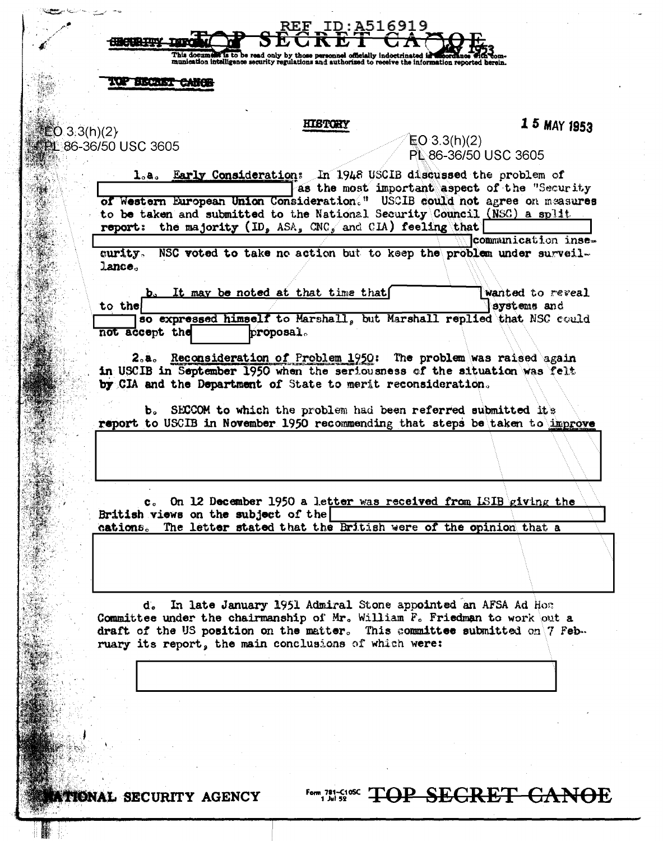|                                            |                         |                |                                     | <b>HISTORY</b>                                                                                                        |              | 1 5 MAY 1953                                                                                                                                                                                             |
|--------------------------------------------|-------------------------|----------------|-------------------------------------|-----------------------------------------------------------------------------------------------------------------------|--------------|----------------------------------------------------------------------------------------------------------------------------------------------------------------------------------------------------------|
| <b>EO 3.3(h)(2)</b><br>L 86-36/50 USC 3605 |                         |                |                                     |                                                                                                                       | EO 3.3(h)(2) | PL 86-36/50 USC 3605                                                                                                                                                                                     |
|                                            | $\mathbf{1}_{\circ}$ a. |                |                                     |                                                                                                                       |              | Early Consideration: In 1948 USCIB discussed the problem of                                                                                                                                              |
|                                            |                         |                |                                     |                                                                                                                       |              | as the most important aspect of the "Security<br>of Western European Union Consideration." USCIB could not agree on measures<br>to be taken and submitted to the National Security Council (NSC) a split |
|                                            | report:                 |                |                                     | the majority (ID, ASA, CNC, and CIA) feeling that                                                                     |              |                                                                                                                                                                                                          |
|                                            | curity.                 |                |                                     |                                                                                                                       |              | communication inse-<br>NSC voted to take no action but to keep the problem under surveil-                                                                                                                |
|                                            | lance.                  |                |                                     |                                                                                                                       |              |                                                                                                                                                                                                          |
|                                            | to the                  |                |                                     | It may be noted at that time that                                                                                     |              | wanted to reveal<br>systems and                                                                                                                                                                          |
|                                            |                         | not accept the |                                     | proposal.                                                                                                             |              | so expressed himself to Marshall, but Marshall replied that NSC could                                                                                                                                    |
|                                            |                         |                |                                     |                                                                                                                       |              |                                                                                                                                                                                                          |
|                                            |                         |                |                                     |                                                                                                                       |              |                                                                                                                                                                                                          |
|                                            | 2.8.                    |                |                                     | by CIA and the Department of State to merit reconsideration.                                                          |              | Reconsideration of Problem 1950: The problem was raised again<br>in USCIB in September 1950 when the seriousness of the situation was felt                                                               |
|                                            |                         | Ъ.             |                                     |                                                                                                                       |              |                                                                                                                                                                                                          |
|                                            |                         |                |                                     | SECCOM to which the problem had been referred submitted it's                                                          |              | report to USCIB in November 1950 recommending that steps be taken to improve                                                                                                                             |
|                                            |                         |                |                                     |                                                                                                                       |              |                                                                                                                                                                                                          |
|                                            |                         |                |                                     |                                                                                                                       |              |                                                                                                                                                                                                          |
|                                            |                         |                |                                     |                                                                                                                       |              | On 12 December 1950 a letter was received from LSIB giving the                                                                                                                                           |
|                                            |                         |                | British views on the subject of the |                                                                                                                       |              | cations. The letter stated that the British were of the opinion that a                                                                                                                                   |
|                                            |                         |                |                                     |                                                                                                                       |              |                                                                                                                                                                                                          |
|                                            |                         |                |                                     |                                                                                                                       |              |                                                                                                                                                                                                          |
|                                            |                         | d.             |                                     | In late January 1951 Admiral Stone appointed an AFSA Ad Home<br>ruary its report, the main conclusions of which were: |              | Committee under the chairmanship of Mr. William F. Friedman to work out a<br>draft of the US position on the matter. This committee submitted on $\gamma$ Feb.                                           |
|                                            |                         |                |                                     |                                                                                                                       |              |                                                                                                                                                                                                          |
|                                            |                         |                |                                     |                                                                                                                       |              |                                                                                                                                                                                                          |

 $\ddot{\phantom{0}}$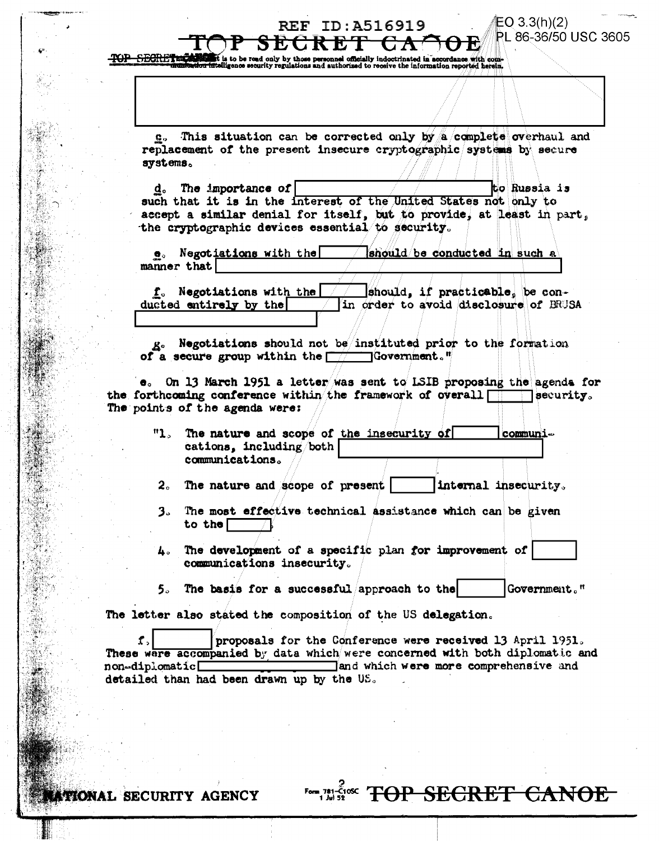## sad only by those personnel officially indoctrinated in accordance with com-<br>curity regulations and authorized to receive the information reported herein.

This situation can be corrected only by a complete overhaul and replacement of the present insecure cryptographic systems by secure systems.

**REF ID:A516919** 

SECRE<del>T CA</del>

EO 3.3(h)(2).

PL 86-36/50 USC 3605

The importance of  $\lceil$ to Russia is d. such that it is in the interest of the United States not only to accept a similar denial for itself, but to provide, at least in part, the cryptographic devices essential to security.

e. Negotiations with the should be conducted in such a manner that

f. Negotiations with the should, if practicable, be conducted entirely by the in order to avoid disclosure of BRUSA

g. Negotiations should not be/instituted prior to the formation of a secure group within the  $\Box$  Government."

e. On 13 March 1951 a letter was sent to LSIB proposing the agenda for the forthcoming conference within the framework of overall  $\Box$  $\Box$  security. The points of the agenda were:

"1. The nature and scope of the insecurity of communications, including/both communications.

2. The nature and scope of present internal insecurity.

- 3. The most effective technical assistance which can be given to the  $\Box$
- The development of a specific plan for improvement of  $4^{\circ}$ communications insecurity.
- 5. The basis for a successful approach to the Government."

**Form 781 savex TOP SECRET CANOE** 

The letter also stated the composition of the US delegation.

 $\mathbf{f}$ . proposals for the Conference were received 13 April 1951. These ware accompanied by data which were concerned with both diplomatic and and which were more comprehensive and non-diplomatic detailed than had been drawn up by the US.

TIONAL SECURITY AGENCY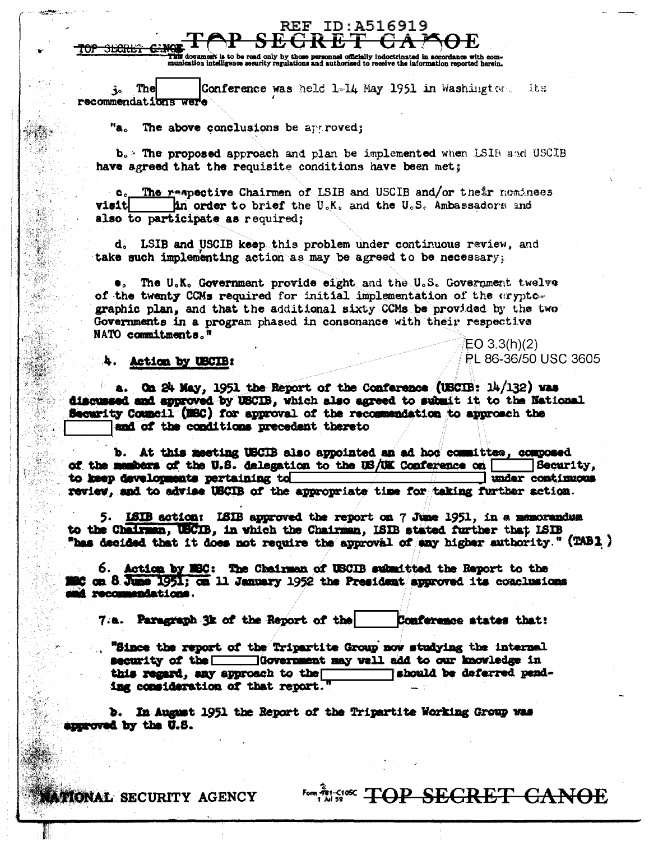i to be read cordance with com This document is to be read only by those personnel officially indoctrinated in accordance with com-<br>munication intelligence security regulations and authorized to receive the information reported herein.

**REF ID:A516919** 

The Conference was held 1-14 May 1951 in Washington. 上七日 j۰. recommendati<del>ons</del>

"a。 The above conclusions be approved;

b. The proposed approach and plan be implemented when LSIB and USCIB have agreed that the requisite conditions have been met;

The respective Chairmen of LSIB and USCIB and/or their nominees c. **visit contract to brief** the U.K. and the U.S. Ambassadors and also to participate as required;

d. LSIB and USCIB keep this problem under continuous review, and take such implementing action as may be agreed to be necessary:

The U.K. Government provide eight and the U.S. Government twelve of the twenty CCMs required for initial implementation of the aryptographic plan, and that the additional sixty CCMs be provided by the two Governments in a program phased in consonance with their respective NATO commitments."  $EO 3.3(h)(2)$ 

#### Action by USCIB:

<del>aran s</del>

3.

a. On 24 May, 1951 the Report of the Conference (USCIB: 14/132) was discussed and approved by USCIB, which also agreed to submit it to the National Security Council (NSC) for approval of the recommendation to approach the and of the conditions precedent thereto

b. At this meeting USCIB also appointed an ad hod committee, composed of the members of the U.S. delegation to the US/UK Conference on [ Security. under continuous to keep developments pertaining to review, and to advise USCIB of the appropriate time for taking further action.

5. ISIB action: ISIB approved the report on 7 June 1951, in a memorandum to the Chairman, USCIB. in which the Chairman. ISIB stated further that ISIB "has decided that it does not require the approval of any higher authority." (TAB1)

6. Action by MSC: The Chairman of USCIB submitted the Report to the 10 on 8 June 1951; on 11 January 1952 the President approved its conclusions i recommendations.

7.a. Paragraph 3k of the Report of the Conference states that:

"Since the report of the Tripartite Group now studying the internal security of the  $\Box$ Government may well add to our knowledge in *Tahould be deferred pend*this regard, any approach to the ing consideration of that report.

b. In August 1951 the Report of the Tripartite Working Group was approved by the U.S.

**Form This 50% TOP SECRET CANOE** 

PL 86-36/50 USC 3605

**ITIONAL SECURITY AGENCY**